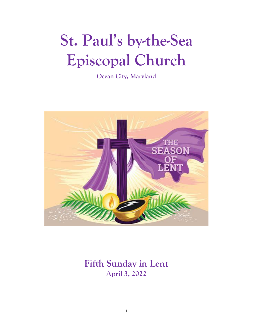# **St. Paul's by-the-Sea Episcopal Church**

**Ocean City, Maryland**



## **Fifth Sunday in Lent April 3, 2022**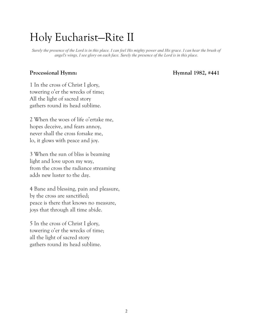## Holy Eucharist—Rite II

*Surely the presence of the Lord is in this place. I can feel His mighty power and His grace. I can hear the brush of angel's wings, I see glory on each face. Surely the presence of the Lord is in this place.*

### Processional Hymn: **Hymnal 1982, #441**

1 In the cross of Christ I glory, towering o'er the wrecks of time; All the light of sacred story gathers round its head sublime.

2 When the woes of life o'ertake me, hopes deceive, and fears annoy, never shall the cross forsake me, lo, it glows with peace and joy.

3 When the sun of bliss is beaming light and love upon my way, from the cross the radiance streaming adds new luster to the day.

4 Bane and blessing, pain and pleasure, by the cross are sanctified; peace is there that knows no measure, joys that through all time abide.

5 In the cross of Christ I glory, towering o'er the wrecks of time; all the light of sacred story gathers round its head sublime.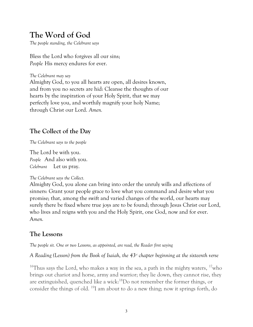### **The Word of God**

*The people standing, the Celebrant says*

Bless the Lord who forgives all our sins; *People* His mercy endures for ever.

*The Celebrant may say*

Almighty God, to you all hearts are open, all desires known, and from you no secrets are hid: Cleanse the thoughts of our hearts by the inspiration of your Holy Spirit, that we may perfectly love you, and worthily magnify your holy Name; through Christ our Lord. *Amen.*

### **The Collect of the Day**

*The Celebrant says to the people*

The Lord be with you. *People* And also with you. *Celebrant* Let us pray.

### *The Celebrant says the Collect.*

Almighty God, you alone can bring into order the unruly wills and affections of sinners: Grant your people grace to love what you command and desire what you promise; that, among the swift and varied changes of the world, our hearts may surely there be fixed where true joys are to be found; through Jesus Christ our Lord, who lives and reigns with you and the Holy Spirit, one God, now and for ever. A*men.*

### **The Lessons**

*The people sit. One or two Lessons, as appointed, are read, the Reader first saying*

*A Reading (Lesson) from the Book of Isaiah, the 43rd chapter beginning at the sixteenth verse*

<sup>16</sup>Thus says the Lord, who makes a way in the sea, a path in the mighty waters,  $\frac{17}{10}$ who brings out chariot and horse, army and warrior; they lie down, they cannot rise, they are extinguished, quenched like a wick:<sup>18</sup>Do not remember the former things, or consider the things of old. <sup>19</sup>I am about to do a new thing; now it springs forth, do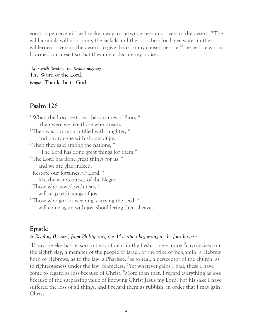you not perceive it? I will make a way in the wilderness and rivers in the desert. <sup>20</sup>The wild animals will honor me, the jackals and the ostriches; for I give water in the wilderness, rivers in the desert, to give drink to my chosen people,  $2^1$ the people whom I formed for myself so that they might declare my praise.

*After each Reading, the Reader may say* The Word of the Lord. *People* Thanks be to God.

### **Psalm** 126

<sup>1</sup> When the Lord restored the fortunes of Zion,  $*$  then were we like those who dream. <sup>2</sup> Then was our mouth filled with laughter, \* and our tongue with shouts of joy.  $3$  Then they said among the nations,  $*$  "The Lord has done great things for them." <sup>4</sup> The Lord has done great things for us,  $*$  and we are glad indeed.  $5$  Restore our fortunes, O Lord,  $*$  like the watercourses of the Negev. <sup>6</sup> Those who sowed with tears  $*$  will reap with songs of joy. <sup>7</sup> Those who go out weeping, carrying the seed, \* will come again with joy, shouldering their sheaves.

### **Epistle**

### *A Reading (Lesson) from Philippians, the 3 rd chapter beginning at the fourth verse.*

<sup>4</sup>If anyone else has reason to be confident in the flesh, I have more: <sup>5</sup>circumcised on the eighth day, a member of the people of Israel, of the tribe of Benjamin, a Hebrew born of Hebrews; as to the law, a Pharisee; <sup>6</sup>as to zeal, a persecutor of the church; as to righteousness under the law, blameless. <sup>7</sup>Yet whatever gains I had, these I have come to regard as loss because of Christ. <sup>8</sup>More than that, I regard everything as loss because of the surpassing value of knowing Christ Jesus my Lord. For his sake I have suffered the loss of all things, and I regard them as rubbish, in order that I may gain Christ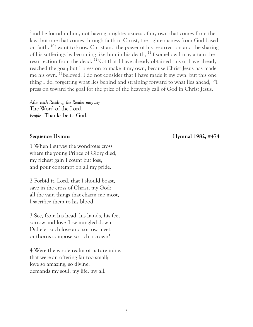<sup>9</sup> and be found in him, not having a righteousness of my own that comes from the law, but one that comes through faith in Christ, the righteousness from God based on faith. <sup>10</sup>I want to know Christ and the power of his resurrection and the sharing of his sufferings by becoming like him in his death, <sup>11</sup>if somehow I may attain the resurrection from the dead. <sup>12</sup>Not that I have already obtained this or have already reached the goal; but I press on to make it my own, because Christ Jesus has made me his own. <sup>13</sup>Beloved, I do not consider that I have made it my own; but this one thing I do: forgetting what lies behind and straining forward to what lies ahead, <sup>14</sup>I press on toward the goal for the prize of the heavenly call of God in Christ Jesus.

*After each Reading, the Reader may say* The Word of the Lord. *People* Thanks be to God.

1 When I survey the wondrous cross where the young Prince of Glory died, my richest gain I count but loss, and pour contempt on all my pride.

2 Forbid it, Lord, that I should boast, save in the cross of Christ, my God: all the vain things that charm me most, I sacrifice them to his blood.

3 See, from his head, his hands, his feet, sorrow and love flow mingled down! Did e'er such love and sorrow meet, or thorns compose so rich a crown?

4 Were the whole realm of nature mine, that were an offering far too small; love so amazing, so divine, demands my soul, my life, my all.

**Sequence Hymn: Hymnal 1982, #474**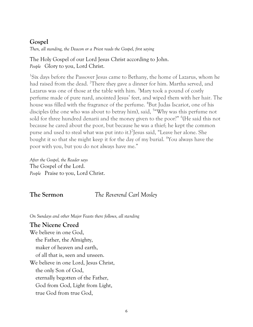### **Gospel**

*Then, all standing, the Deacon or a Priest reads the Gospel, first saying*

The Holy Gospel of our Lord Jesus Christ according to John. *People* Glory to you, Lord Christ.

<sup>1</sup>Six days before the Passover Jesus came to Bethany, the home of Lazarus, whom he had raised from the dead. <sup>2</sup>There they gave a dinner for him. Martha served, and Lazarus was one of those at the table with him.  $3$ Mary took a pound of costly perfume made of pure nard, anointed Jesus' feet, and wiped them with her hair. The house was filled with the fragrance of the perfume. <sup>4</sup>But Judas Iscariot, one of his disciples (the one who was about to betray him), said, <sup>5</sup> Why was this perfume not sold for three hundred denarii and the money given to the poor?" <sup>6</sup>(He said this not because he cared about the poor, but because he was a thief; he kept the common purse and used to steal what was put into it.)<sup>7</sup> Jesus said, "Leave her alone. She bought it so that she might keep it for the day of my burial. <sup>8</sup>You always have the poor with you, but you do not always have me."

*After the Gospel, the Reader says* The Gospel of the Lord. *People* Praise to you, Lord Christ.

### **The Sermon** *The Reverend Carl Mosley*

*On Sundays and other Major Feasts there follows, all standing*

### **The Nicene Creed**

We believe in one God, the Father, the Almighty, maker of heaven and earth, of all that is, seen and unseen. We believe in one Lord, Jesus Christ, the only Son of God, eternally begotten of the Father, God from God, Light from Light, true God from true God,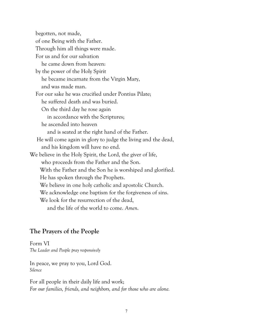begotten, not made, of one Being with the Father. Through him all things were made. For us and for our salvation he came down from heaven: by the power of the Holy Spirit he became incarnate from the Virgin Mary, and was made man. For our sake he was crucified under Pontius Pilate; he suffered death and was buried. On the third day he rose again in accordance with the Scriptures; he ascended into heaven and is seated at the right hand of the Father. He will come again in glory to judge the living and the dead, and his kingdom will have no end. We believe in the Holy Spirit, the Lord, the giver of life, who proceeds from the Father and the Son. With the Father and the Son he is worshiped and glorified. He has spoken through the Prophets. We believe in one holy catholic and apostolic Church. We acknowledge one baptism for the forgiveness of sins. We look for the resurrection of the dead, and the life of the world to come. *Amen*.

### **The Prayers of the People**

Form VI *The Leader and People pray responsively* 

In peace, we pray to you, Lord God. *Silence* 

For all people in their daily life and work; *For our families, friends, and neighbors, and for those who are alone.*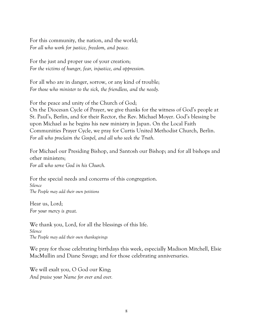For this community, the nation, and the world; *For all who work for justice, freedom, and peace.*

For the just and proper use of your creation; *For the victims of hunger, fear, injustice, and oppression.*

For all who are in danger, sorrow, or any kind of trouble; *For those who minister to the sick, the friendless, and the needy.*

For the peace and unity of the Church of God;

On the Diocesan Cycle of Prayer, we give thanks for the witness of God's people at St. Paul's, Berlin, and for their Rector, the Rev. Michael Moyer. God's blessing be upon Michael as he begins his new ministry in Japan. On the Local Faith Communities Prayer Cycle, we pray for Curtis United Methodist Church, Berlin. *For all who proclaim the Gospel, and all who seek the Truth.*

For Michael our Presiding Bishop, and Santosh our Bishop; and for all bishops and other ministers; *For all who serve God in his Church.*

For the special needs and concerns of this congregation. *Silence The People may add their own petitions* 

Hear us, Lord; *For your mercy is great.*

We thank you, Lord, for all the blessings of this life. *Silence The People may add their own thanksgivings* 

We pray for those celebrating birthdays this week, especially Madison Mitchell, Elsie MacMullin and Diane Savage; and for those celebrating anniversaries.

We will exalt you, O God our King; *And praise your Name for ever and ever.*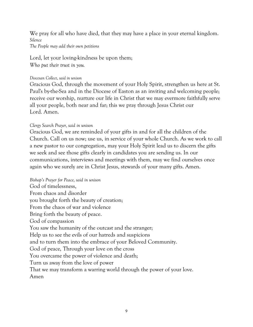We pray for all who have died, that they may have a place in your eternal kingdom. *Silence The People may add their own petitions* 

Lord, let your loving-kindness be upon them; *Who put their trust in you.*

#### *Diocesan Collect*, *said in unison*

Gracious God, through the movement of your Holy Spirit, strengthen us here at St. Paul's by-the-Sea and in the Diocese of Easton as an inviting and welcoming people; receive our worship, nurture our life in Christ that we may evermore faithfully serve all your people, both near and far; this we pray through Jesus Christ our Lord. Amen.

#### *Clergy Search Prayer, said in unison*

Gracious God, we are reminded of your gifts in and for all the children of the Church. Call on us now; use us, in service of your whole Church. As we work to call a new pastor to our congregation, may your Holy Spirit lead us to discern the gifts we seek and see those gifts clearly in candidates you are sending us. In our communications, interviews and meetings with them, may we find ourselves once again who we surely are in Christ Jesus, stewards of your many gifts. Amen.

*Bishop's Prayer for Peace, said in unison* God of timelessness, From chaos and disorder you brought forth the beauty of creation; From the chaos of war and violence Bring forth the beauty of peace. God of compassion You saw the humanity of the outcast and the stranger; Help us to see the evils of our hatreds and suspicions and to turn them into the embrace of your Beloved Community. God of peace, Through your love on the cross You overcame the power of violence and death; Turn us away from the love of power That we may transform a warring world through the power of your love. Amen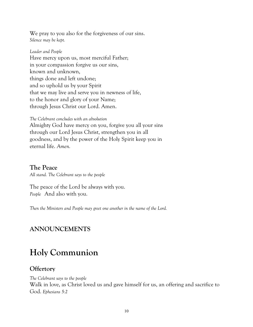We pray to you also for the forgiveness of our sins. *Silence may be kept.* 

*Leader and People*  Have mercy upon us, most merciful Father; in your compassion forgive us our sins, known and unknown, things done and left undone; and so uphold us by your Spirit that we may live and serve you in newness of life, to the honor and glory of your Name; through Jesus Christ our Lord. Amen.

*The Celebrant concludes with an absolution*

Almighty God have mercy on you, forgive you all your sins through our Lord Jesus Christ, strengthen you in all goodness, and by the power of the Holy Spirit keep you in eternal life. *Amen.*

### **The Peace**

*All stand. The Celebrant says to the people*

The peace of the Lord be always with you. *People* And also with you.

*Then the Ministers and People may greet one another in the name of the Lord.*

### **ANNOUNCEMENTS**

### **Holy Communion**

### **Offertory**

*The Celebrant says to the people* Walk in love, as Christ loved us and gave himself for us, an offering and sacrifice to God. *Ephesians 5:2*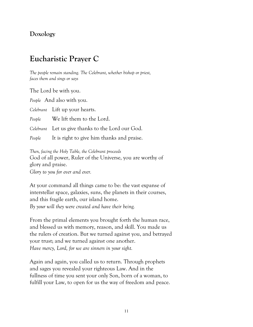### **Doxology**

### **Eucharistic Prayer C**

*The people remain standing. The Celebrant, whether bishop or priest, faces them and sings or says*

The Lord be with you.

*People* And also with you.

*Celebrant* Lift up your hearts.

*People* We lift them to the Lord.

*Celebrant* Let us give thanks to the Lord our God.

*People* It is right to give him thanks and praise.

*Then, facing the Holy Table, the Celebrant proceeds* God of all power, Ruler of the Universe, you are worthy of glory and praise. *Glory to you for ever and ever.*

At your command all things came to be: the vast expanse of interstellar space, galaxies, suns, the planets in their courses, and this fragile earth, our island home. *By your will they were created and have their being.*

From the primal elements you brought forth the human race, and blessed us with memory, reason, and skill. You made us the rulers of creation. But we turned against you, and betrayed your trust; and we turned against one another. *Have mercy, Lord, for we are sinners in your sight.*

Again and again, you called us to return. Through prophets and sages you revealed your righteous Law. And in the fullness of time you sent your only Son, born of a woman, to fulfill your Law, to open for us the way of freedom and peace.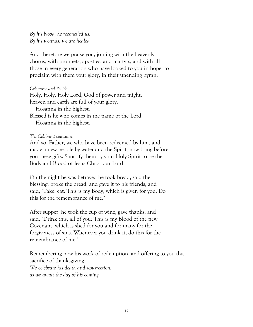*By his blood, he reconciled us. By his wounds, we are healed.*

And therefore we praise you, joining with the heavenly chorus, with prophets, apostles, and martyrs, and with all those in every generation who have looked to you in hope, to proclaim with them your glory, in their unending hymn:

#### *Celebrant and People*

Holy, Holy, Holy Lord, God of power and might, heaven and earth are full of your glory. Hosanna in the highest. Blessed is he who comes in the name of the Lord.

Hosanna in the highest.

#### *The Celebrant continues*

And so, Father, we who have been redeemed by him, and made a new people by water and the Spirit, now bring before you these gifts. Sanctify them by your Holy Spirit to be the Body and Blood of Jesus Christ our Lord.

On the night he was betrayed he took bread, said the blessing, broke the bread, and gave it to his friends, and said, "Take, eat: This is my Body, which is given for you. Do this for the remembrance of me."

After supper, he took the cup of wine, gave thanks, and said, "Drink this, all of you: This is my Blood of the new Covenant, which is shed for you and for many for the forgiveness of sins. Whenever you drink it, do this for the remembrance of me."

Remembering now his work of redemption, and offering to you this sacrifice of thanksgiving, *We celebrate his death and resurrection, as we await the day of his coming.*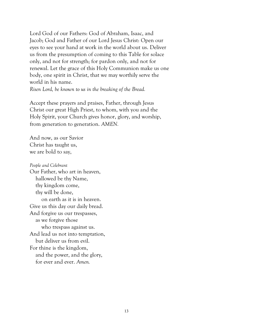Lord God of our Fathers: God of Abraham, Isaac, and Jacob; God and Father of our Lord Jesus Christ: Open our eyes to see your hand at work in the world about us. Deliver us from the presumption of coming to this Table for solace only, and not for strength; for pardon only, and not for renewal. Let the grace of this Holy Communion make us one body, one spirit in Christ, that we may worthily serve the world in his name.

*Risen Lord, be known to us in the breaking of the Bread.*

Accept these prayers and praises, Father, through Jesus Christ our great High Priest, to whom, with you and the Holy Spirit, your Church gives honor, glory, and worship, from generation to generation. *AMEN.*

And now, as our Savior Christ has taught us, we are bold to say,

*People and Celebrant* Our Father, who art in heaven, hallowed be thy Name, thy kingdom come, thy will be done, on earth as it is in heaven. Give us this day our daily bread. And forgive us our trespasses, as we forgive those who trespass against us. And lead us not into temptation, but deliver us from evil. For thine is the kingdom, and the power, and the glory, for ever and ever. *Amen.*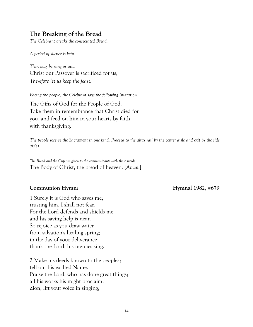### **The Breaking of the Bread**

*The Celebrant breaks the consecrated Bread.*

*A period of silence is kept.*

*Then may be sung or said* Christ our Passover is sacrificed for us; *Therefore let us keep the feast.*

*Facing the people, the Celebrant says the following Invitation* The Gifts of God for the People of God. Take them in remembrance that Christ died for you, and feed on him in your hearts by faith, with thanksgiving.

*The people receive the Sacrament in one kind. Proceed to the altar rail by the center aisle and exit by the side aisles.*

*The Bread and the Cup are given to the communicants with these words* The Body of Christ, the bread of heaven. [*Amen.*]

### **Communion Hymn: Hymnal 1982, #679**

1 Surely it is God who saves me; trusting him, I shall not fear. For the Lord defends and shields me and his saving help is near. So rejoice as you draw water from salvation's healing spring; in the day of your deliverance thank the Lord, his mercies sing.

2 Make his deeds known to the peoples; tell out his exalted Name. Praise the Lord, who has done great things; all his works his might proclaim. Zion, lift your voice in singing;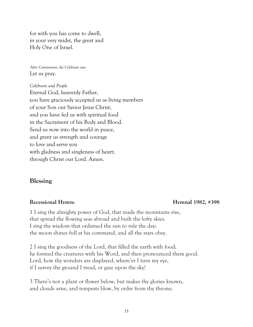for with you has come to dwell, in your very midst, the great and Holy One of Israel.

*After Communion, the Celebrant says* Let us pray.

*Celebrant and People* Eternal God, heavenly Father, you have graciously accepted us as living members of your Son our Savior Jesus Christ, and you have fed us with spiritual food in the Sacrament of his Body and Blood. Send us now into the world in peace, and grant us strength and courage to love and serve you with gladness and singleness of heart; through Christ our Lord. Amen.

### **Blessing**

#### **Recessional Hymn: Hymnal 1982, #398**

1 I sing the almighty power of God, that made the mountains rise, that spread the flowing seas abroad and built the lofty skies. I sing the wisdom that ordained the sun to rule the day; the moon shines full at his command, and all the stars obey.

2 I sing the goodness of the Lord, that filled the earth with food; he formed the creatures with his Word, and then pronounced them good. Lord, how thy wonders are displayed, where'er I turn my eye, if I survey the ground I tread, or gaze upon the sky!

3 There's not a plant or flower below, but makes thy glories known, and clouds arise, and tempests blow, by order from thy throne;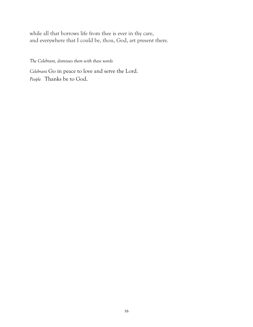while all that borrows life from thee is ever in thy care, and everywhere that I could be, thou, God, art present there.

*The Celebrant, dismisses them with these words*

*Celebrant* Go in peace to love and serve the Lord. *People* Thanks be to God.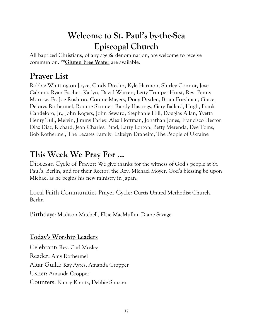## **Welcome to St. Paul's by-the-Sea Episcopal Church**

All baptized Christians, of any age & denomination, are welcome to receive communion. **\*\*Gluten Free Wafer** are available.

## **Prayer List**

Robbie Whittington Joyce, Cindy Dreslin, Kyle Harmon, Shirley Connor, Jose Cabrera, Ryan Fischer, Katlyn, David Warren, Letty Trimper Hurst, Rev. Penny Morrow, Fr. Joe Rushton, Connie Mayers, Doug Dryden, Brian Friedman, Grace, Delores Rothermel, Ronnie Skinner, Randy Hastings, Gary Ballard, Hugh, Frank Candeloro, Jr., John Rogers, John Seward, Stephanie Hill, Douglas Allan, Yvetta Henry Tull, Melvin, Jimmy Farley, Alex Hoffman, Jonathan Jones, Francisco Hector Diaz Diaz, Richard, Jean Charles, Brad, Larry Lorton, Betty Merenda, Dee Toms, Bob Rothermel, The Lecates Family, Lakelyn Draheim, The People of Ukraine

### **This Week We Pray For ...**

Diocesan Cycle of Prayer: We give thanks for the witness of God's people at St. Paul's, Berlin, and for their Rector, the Rev. Michael Moyer. God's blessing be upon Michael as he begins his new ministry in Japan.

Local Faith Communities Prayer Cycle: Curtis United Methodist Church, Berlin

Birthdays: Madison Mitchell, Elsie MacMullin, Diane Savage

### **Today's Worship Leaders**

Celebrant: Rev. Carl Mosley Reader: Amy Rothermel Altar Guild: Kay Ayres, Amanda Cropper Usher: Amanda Cropper Counters: Nancy Knotts, Debbie Shuster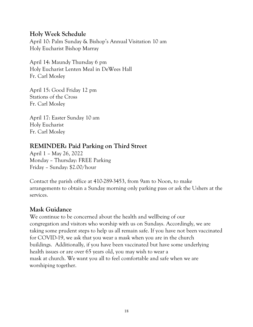### **Holy Week Schedule**

April 10: Palm Sunday & Bishop's Annual Visitation 10 am Holy Eucharist Bishop Marray

April 14: Maundy Thursday 6 pm Holy Eucharist Lenten Meal in DeWees Hall Fr. Carl Mosley

April 15: Good Friday 12 pm Stations of the Cross Fr. Carl Mosley

April 17: Easter Sunday 10 am Holy Eucharist Fr. Carl Mosley

### **REMINDER: Paid Parking on Third Street**

April 1 – May 26, 2022 Monday – Thursday: FREE Parking Friday – Sunday: \$2.00/hour

Contact the parish office at 410-289-3453, from 9am to Noon, to make arrangements to obtain a Sunday morning only parking pass or ask the Ushers at the services.

### **Mask Guidance**

We continue to be concerned about the health and wellbeing of our congregation and visitors who worship with us on Sundays. Accordingly, we are taking some prudent steps to help us all remain safe. If you have not been vaccinated for COVID-19, we ask that you wear a mask when you are in the church buildings. Additionally, if you have been vaccinated but have some underlying health issues or are over 65 years old, you may wish to wear a mask at church. We want you all to feel comfortable and safe when we are worshiping together.